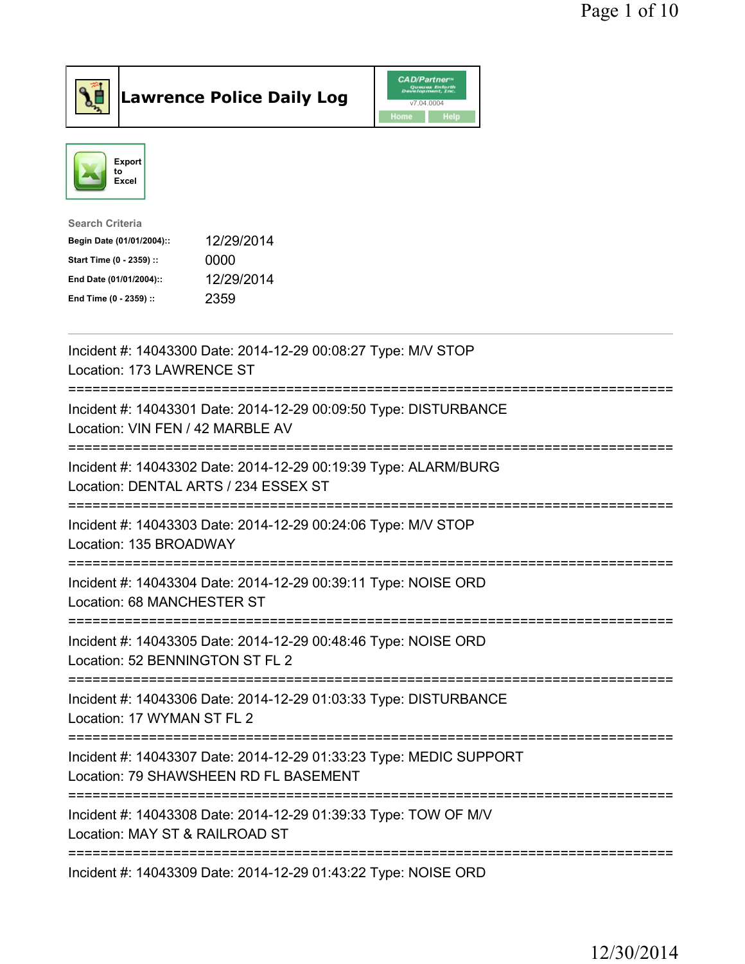



| Search Criteria           |            |
|---------------------------|------------|
| Begin Date (01/01/2004):: | 12/29/2014 |
| Start Time (0 - 2359) ::  | 0000       |
| End Date (01/01/2004)::   | 12/29/2014 |
| End Time (0 - 2359) ::    | 2359       |
|                           |            |

| Incident #: 14043300 Date: 2014-12-29 00:08:27 Type: M/V STOP<br>Location: 173 LAWRENCE ST                                           |
|--------------------------------------------------------------------------------------------------------------------------------------|
| Incident #: 14043301 Date: 2014-12-29 00:09:50 Type: DISTURBANCE<br>Location: VIN FEN / 42 MARBLE AV                                 |
| Incident #: 14043302 Date: 2014-12-29 00:19:39 Type: ALARM/BURG<br>Location: DENTAL ARTS / 234 ESSEX ST<br>:======================== |
| Incident #: 14043303 Date: 2014-12-29 00:24:06 Type: M/V STOP<br>Location: 135 BROADWAY                                              |
| Incident #: 14043304 Date: 2014-12-29 00:39:11 Type: NOISE ORD<br>Location: 68 MANCHESTER ST                                         |
| Incident #: 14043305 Date: 2014-12-29 00:48:46 Type: NOISE ORD<br>Location: 52 BENNINGTON ST FL 2                                    |
| Incident #: 14043306 Date: 2014-12-29 01:03:33 Type: DISTURBANCE<br>Location: 17 WYMAN ST FL 2                                       |
| Incident #: 14043307 Date: 2014-12-29 01:33:23 Type: MEDIC SUPPORT<br>Location: 79 SHAWSHEEN RD FL BASEMENT                          |
| Incident #: 14043308 Date: 2014-12-29 01:39:33 Type: TOW OF M/V<br>Location: MAY ST & RAILROAD ST                                    |
| Incident #: 14043309 Date: 2014-12-29 01:43:22 Type: NOISE ORD                                                                       |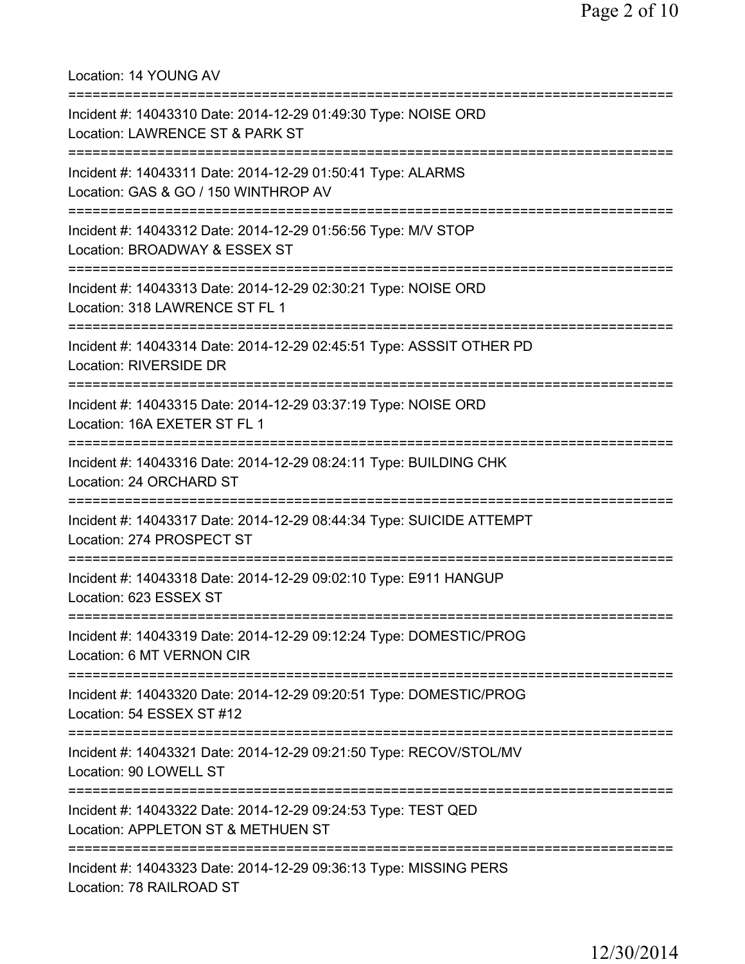Location: 14 YOUNG AV =========================================================================== Incident #: 14043310 Date: 2014-12-29 01:49:30 Type: NOISE ORD Location: LAWRENCE ST & PARK ST =========================================================================== Incident #: 14043311 Date: 2014-12-29 01:50:41 Type: ALARMS Location: GAS & GO / 150 WINTHROP AV =========================================================================== Incident #: 14043312 Date: 2014-12-29 01:56:56 Type: M/V STOP Location: BROADWAY & ESSEX ST =========================================================================== Incident #: 14043313 Date: 2014-12-29 02:30:21 Type: NOISE ORD Location: 318 LAWRENCE ST FL 1 =========================================================================== Incident #: 14043314 Date: 2014-12-29 02:45:51 Type: ASSSIT OTHER PD Location: RIVERSIDE DR =========================================================================== Incident #: 14043315 Date: 2014-12-29 03:37:19 Type: NOISE ORD Location: 16A EXETER ST FL 1 =========================================================================== Incident #: 14043316 Date: 2014-12-29 08:24:11 Type: BUILDING CHK Location: 24 ORCHARD ST =========================================================================== Incident #: 14043317 Date: 2014-12-29 08:44:34 Type: SUICIDE ATTEMPT Location: 274 PROSPECT ST =========================================================================== Incident #: 14043318 Date: 2014-12-29 09:02:10 Type: E911 HANGUP Location: 623 ESSEX ST =========================================================================== Incident #: 14043319 Date: 2014-12-29 09:12:24 Type: DOMESTIC/PROG Location: 6 MT VERNON CIR =========================================================================== Incident #: 14043320 Date: 2014-12-29 09:20:51 Type: DOMESTIC/PROG Location: 54 ESSEX ST #12 =========================================================================== Incident #: 14043321 Date: 2014-12-29 09:21:50 Type: RECOV/STOL/MV Location: 90 LOWELL ST =========================================================================== Incident #: 14043322 Date: 2014-12-29 09:24:53 Type: TEST QED Location: APPLETON ST & METHUEN ST =========================================================================== Incident #: 14043323 Date: 2014-12-29 09:36:13 Type: MISSING PERS Location: 78 RAILROAD ST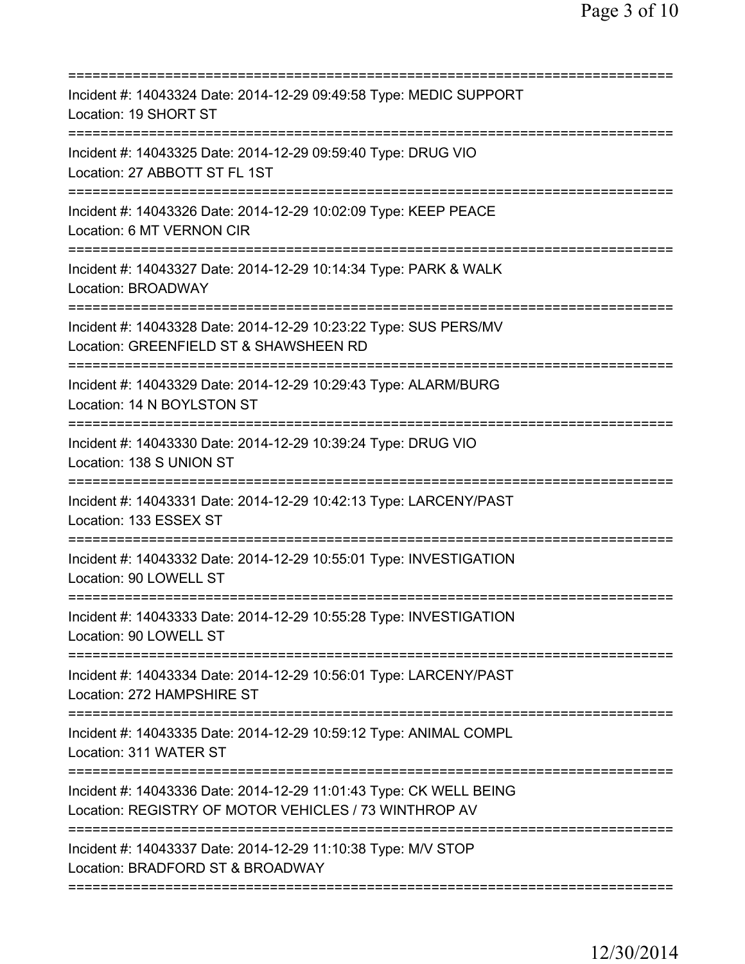| Incident #: 14043324 Date: 2014-12-29 09:49:58 Type: MEDIC SUPPORT<br>Location: 19 SHORT ST<br>===================================            |
|-----------------------------------------------------------------------------------------------------------------------------------------------|
| Incident #: 14043325 Date: 2014-12-29 09:59:40 Type: DRUG VIO<br>Location: 27 ABBOTT ST FL 1ST                                                |
| Incident #: 14043326 Date: 2014-12-29 10:02:09 Type: KEEP PEACE<br>Location: 6 MT VERNON CIR                                                  |
| Incident #: 14043327 Date: 2014-12-29 10:14:34 Type: PARK & WALK<br><b>Location: BROADWAY</b>                                                 |
| Incident #: 14043328 Date: 2014-12-29 10:23:22 Type: SUS PERS/MV<br>Location: GREENFIELD ST & SHAWSHEEN RD<br>=============================== |
| Incident #: 14043329 Date: 2014-12-29 10:29:43 Type: ALARM/BURG<br>Location: 14 N BOYLSTON ST                                                 |
| Incident #: 14043330 Date: 2014-12-29 10:39:24 Type: DRUG VIO<br>Location: 138 S UNION ST                                                     |
| Incident #: 14043331 Date: 2014-12-29 10:42:13 Type: LARCENY/PAST<br>Location: 133 ESSEX ST                                                   |
| Incident #: 14043332 Date: 2014-12-29 10:55:01 Type: INVESTIGATION<br>Location: 90 LOWELL ST                                                  |
| Incident #: 14043333 Date: 2014-12-29 10:55:28 Type: INVESTIGATION<br>Location: 90 LOWELL ST                                                  |
| Incident #: 14043334 Date: 2014-12-29 10:56:01 Type: LARCENY/PAST<br>Location: 272 HAMPSHIRE ST                                               |
| Incident #: 14043335 Date: 2014-12-29 10:59:12 Type: ANIMAL COMPL<br>Location: 311 WATER ST                                                   |
| Incident #: 14043336 Date: 2014-12-29 11:01:43 Type: CK WELL BEING<br>Location: REGISTRY OF MOTOR VEHICLES / 73 WINTHROP AV                   |
| ==========================<br>Incident #: 14043337 Date: 2014-12-29 11:10:38 Type: M/V STOP<br>Location: BRADFORD ST & BROADWAY               |
|                                                                                                                                               |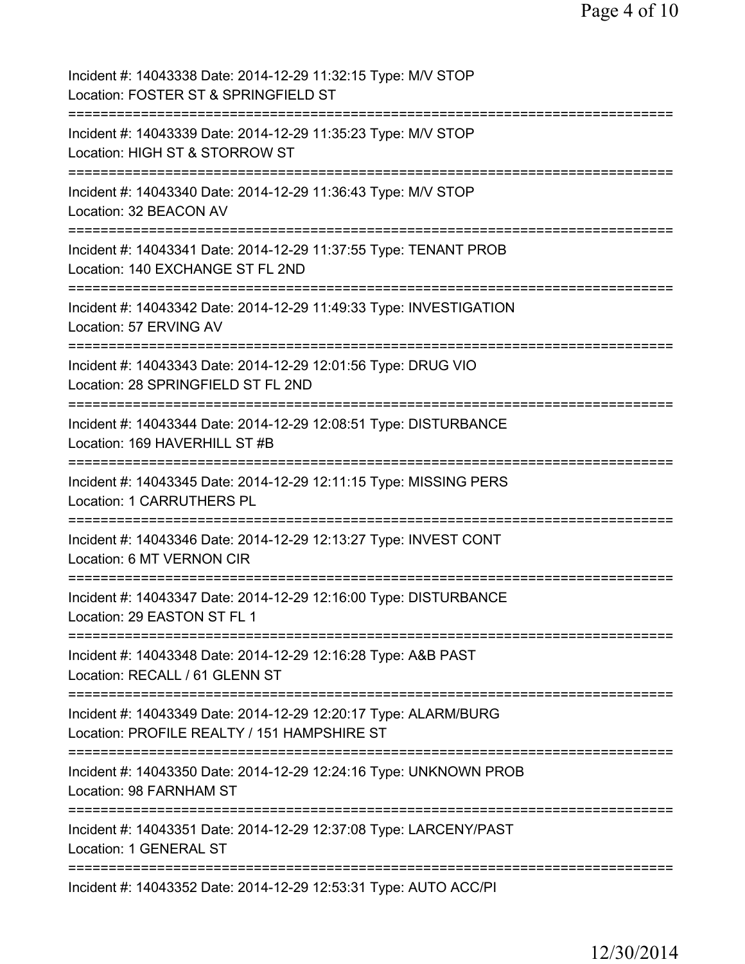Page 4 of 10

| Incident #: 14043338 Date: 2014-12-29 11:32:15 Type: M/V STOP<br>Location: FOSTER ST & SPRINGFIELD ST                                |
|--------------------------------------------------------------------------------------------------------------------------------------|
| Incident #: 14043339 Date: 2014-12-29 11:35:23 Type: M/V STOP<br>Location: HIGH ST & STORROW ST                                      |
| Incident #: 14043340 Date: 2014-12-29 11:36:43 Type: M/V STOP<br>Location: 32 BEACON AV                                              |
| Incident #: 14043341 Date: 2014-12-29 11:37:55 Type: TENANT PROB<br>Location: 140 EXCHANGE ST FL 2ND                                 |
| Incident #: 14043342 Date: 2014-12-29 11:49:33 Type: INVESTIGATION<br>Location: 57 ERVING AV                                         |
| Incident #: 14043343 Date: 2014-12-29 12:01:56 Type: DRUG VIO<br>Location: 28 SPRINGFIELD ST FL 2ND                                  |
| Incident #: 14043344 Date: 2014-12-29 12:08:51 Type: DISTURBANCE<br>Location: 169 HAVERHILL ST #B                                    |
| Incident #: 14043345 Date: 2014-12-29 12:11:15 Type: MISSING PERS<br>Location: 1 CARRUTHERS PL                                       |
| Incident #: 14043346 Date: 2014-12-29 12:13:27 Type: INVEST CONT<br>Location: 6 MT VERNON CIR                                        |
| =================================<br>Incident #: 14043347 Date: 2014-12-29 12:16:00 Type: DISTURBANCE<br>Location: 29 EASTON ST FL 1 |
| Incident #: 14043348 Date: 2014-12-29 12:16:28 Type: A&B PAST<br>Location: RECALL / 61 GLENN ST                                      |
| Incident #: 14043349 Date: 2014-12-29 12:20:17 Type: ALARM/BURG<br>Location: PROFILE REALTY / 151 HAMPSHIRE ST                       |
| Incident #: 14043350 Date: 2014-12-29 12:24:16 Type: UNKNOWN PROB<br>Location: 98 FARNHAM ST                                         |
| Incident #: 14043351 Date: 2014-12-29 12:37:08 Type: LARCENY/PAST<br>Location: 1 GENERAL ST                                          |
| Incident #: 14043352 Date: 2014-12-29 12:53:31 Type: AUTO ACC/PI                                                                     |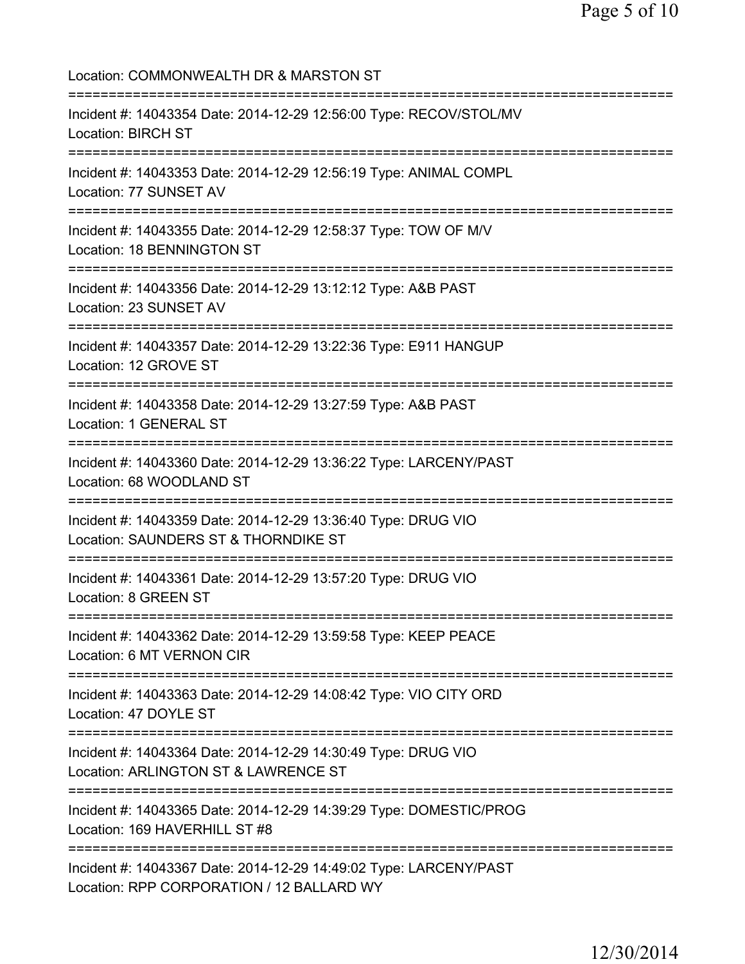Location: COMMONWEALTH DR & MARSTON ST =========================================================================== Incident #: 14043354 Date: 2014-12-29 12:56:00 Type: RECOV/STOL/MV Location: BIRCH ST =========================================================================== Incident #: 14043353 Date: 2014-12-29 12:56:19 Type: ANIMAL COMPL Location: 77 SUNSET AV =========================================================================== Incident #: 14043355 Date: 2014-12-29 12:58:37 Type: TOW OF M/V Location: 18 BENNINGTON ST =========================================================================== Incident #: 14043356 Date: 2014-12-29 13:12:12 Type: A&B PAST Location: 23 SUNSET AV =========================================================================== Incident #: 14043357 Date: 2014-12-29 13:22:36 Type: E911 HANGUP Location: 12 GROVE ST =========================================================================== Incident #: 14043358 Date: 2014-12-29 13:27:59 Type: A&B PAST Location: 1 GENERAL ST =========================================================================== Incident #: 14043360 Date: 2014-12-29 13:36:22 Type: LARCENY/PAST Location: 68 WOODLAND ST =========================================================================== Incident #: 14043359 Date: 2014-12-29 13:36:40 Type: DRUG VIO Location: SAUNDERS ST & THORNDIKE ST =========================================================================== Incident #: 14043361 Date: 2014-12-29 13:57:20 Type: DRUG VIO Location: 8 GREEN ST =========================================================================== Incident #: 14043362 Date: 2014-12-29 13:59:58 Type: KEEP PEACE Location: 6 MT VERNON CIR =========================================================================== Incident #: 14043363 Date: 2014-12-29 14:08:42 Type: VIO CITY ORD Location: 47 DOYLE ST =========================================================================== Incident #: 14043364 Date: 2014-12-29 14:30:49 Type: DRUG VIO Location: ARLINGTON ST & LAWRENCE ST =========================================================================== Incident #: 14043365 Date: 2014-12-29 14:39:29 Type: DOMESTIC/PROG Location: 169 HAVERHILL ST #8 =========================================================================== Incident #: 14043367 Date: 2014-12-29 14:49:02 Type: LARCENY/PAST Location: RPP CORPORATION / 12 BALLARD WY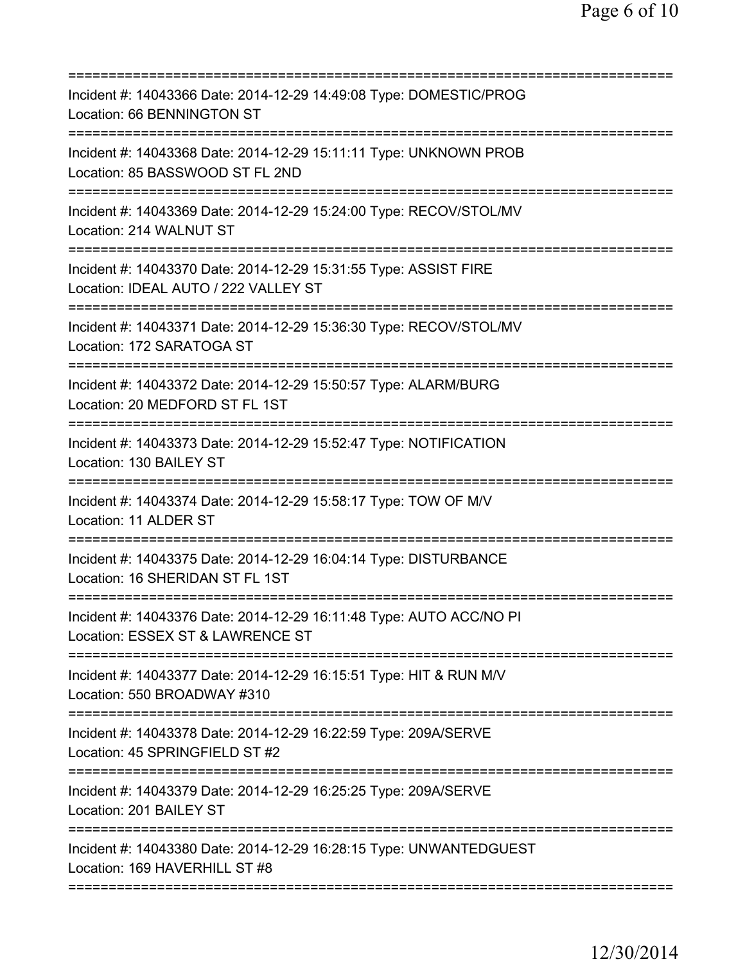| Incident #: 14043366 Date: 2014-12-29 14:49:08 Type: DOMESTIC/PROG<br>Location: 66 BENNINGTON ST                                       |
|----------------------------------------------------------------------------------------------------------------------------------------|
| Incident #: 14043368 Date: 2014-12-29 15:11:11 Type: UNKNOWN PROB<br>Location: 85 BASSWOOD ST FL 2ND                                   |
| Incident #: 14043369 Date: 2014-12-29 15:24:00 Type: RECOV/STOL/MV<br>Location: 214 WALNUT ST                                          |
| Incident #: 14043370 Date: 2014-12-29 15:31:55 Type: ASSIST FIRE<br>Location: IDEAL AUTO / 222 VALLEY ST<br>========================== |
| Incident #: 14043371 Date: 2014-12-29 15:36:30 Type: RECOV/STOL/MV<br>Location: 172 SARATOGA ST                                        |
| Incident #: 14043372 Date: 2014-12-29 15:50:57 Type: ALARM/BURG<br>Location: 20 MEDFORD ST FL 1ST                                      |
| Incident #: 14043373 Date: 2014-12-29 15:52:47 Type: NOTIFICATION<br>Location: 130 BAILEY ST                                           |
| Incident #: 14043374 Date: 2014-12-29 15:58:17 Type: TOW OF M/V<br>Location: 11 ALDER ST<br>:===============================           |
| Incident #: 14043375 Date: 2014-12-29 16:04:14 Type: DISTURBANCE<br>Location: 16 SHERIDAN ST FL 1ST                                    |
| Incident #: 14043376 Date: 2014-12-29 16:11:48 Type: AUTO ACC/NO PI<br>Location: ESSEX ST & LAWRENCE ST                                |
| Incident #: 14043377 Date: 2014-12-29 16:15:51 Type: HIT & RUN M/V<br>Location: 550 BROADWAY #310                                      |
| Incident #: 14043378 Date: 2014-12-29 16:22:59 Type: 209A/SERVE<br>Location: 45 SPRINGFIELD ST #2                                      |
| Incident #: 14043379 Date: 2014-12-29 16:25:25 Type: 209A/SERVE<br>Location: 201 BAILEY ST                                             |
| Incident #: 14043380 Date: 2014-12-29 16:28:15 Type: UNWANTEDGUEST<br>Location: 169 HAVERHILL ST #8                                    |
|                                                                                                                                        |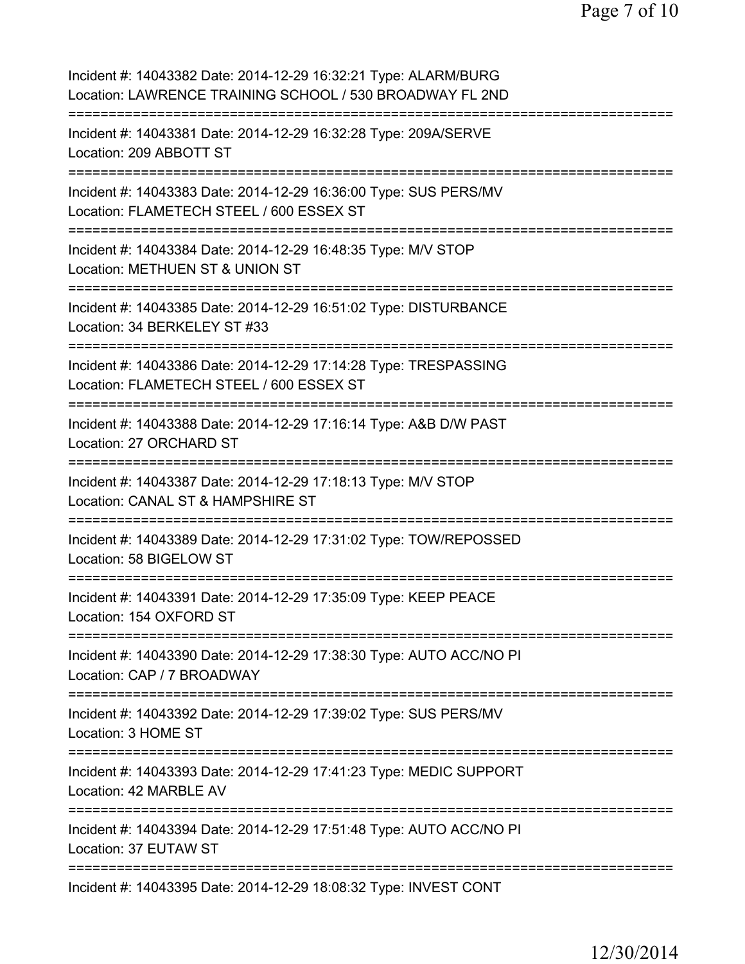Page 7 of 10

Incident #: 14043382 Date: 2014-12-29 16:32:21 Type: ALARM/BURG Location: LAWRENCE TRAINING SCHOOL / 530 BROADWAY FL 2ND =========================================================================== Incident #: 14043381 Date: 2014-12-29 16:32:28 Type: 209A/SERVE Location: 209 ABBOTT ST =========================================================================== Incident #: 14043383 Date: 2014-12-29 16:36:00 Type: SUS PERS/MV Location: FLAMETECH STEEL / 600 ESSEX ST =========================================================================== Incident #: 14043384 Date: 2014-12-29 16:48:35 Type: M/V STOP Location: METHUEN ST & UNION ST =========================================================================== Incident #: 14043385 Date: 2014-12-29 16:51:02 Type: DISTURBANCE Location: 34 BERKELEY ST #33 =========================================================================== Incident #: 14043386 Date: 2014-12-29 17:14:28 Type: TRESPASSING Location: FLAMETECH STEEL / 600 ESSEX ST =========================================================================== Incident #: 14043388 Date: 2014-12-29 17:16:14 Type: A&B D/W PAST Location: 27 ORCHARD ST =========================================================================== Incident #: 14043387 Date: 2014-12-29 17:18:13 Type: M/V STOP Location: CANAL ST & HAMPSHIRE ST =========================================================================== Incident #: 14043389 Date: 2014-12-29 17:31:02 Type: TOW/REPOSSED Location: 58 BIGELOW ST =========================================================================== Incident #: 14043391 Date: 2014-12-29 17:35:09 Type: KEEP PEACE Location: 154 OXFORD ST =========================================================================== Incident #: 14043390 Date: 2014-12-29 17:38:30 Type: AUTO ACC/NO PI Location: CAP / 7 BROADWAY =========================================================================== Incident #: 14043392 Date: 2014-12-29 17:39:02 Type: SUS PERS/MV Location: 3 HOME ST =========================================================================== Incident #: 14043393 Date: 2014-12-29 17:41:23 Type: MEDIC SUPPORT Location: 42 MARBLE AV =========================================================================== Incident #: 14043394 Date: 2014-12-29 17:51:48 Type: AUTO ACC/NO PI Location: 37 EUTAW ST =========================================================================== Incident #: 14043395 Date: 2014-12-29 18:08:32 Type: INVEST CONT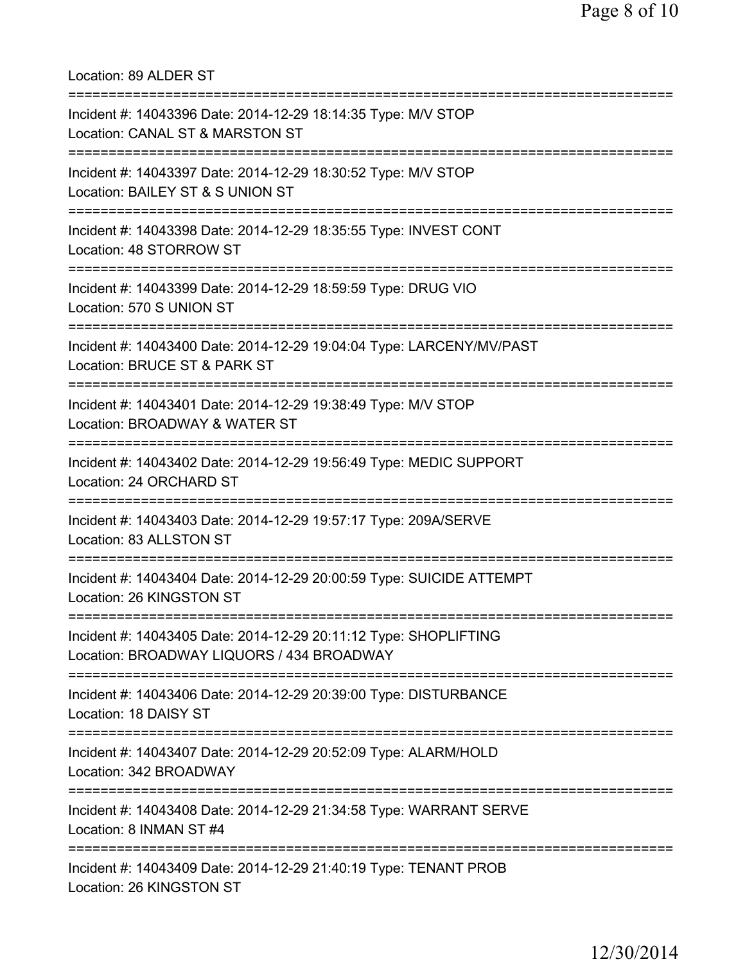Location: 89 ALDER ST =========================================================================== Incident #: 14043396 Date: 2014-12-29 18:14:35 Type: M/V STOP Location: CANAL ST & MARSTON ST =========================================================================== Incident #: 14043397 Date: 2014-12-29 18:30:52 Type: M/V STOP Location: BAILEY ST & S UNION ST =========================================================================== Incident #: 14043398 Date: 2014-12-29 18:35:55 Type: INVEST CONT Location: 48 STORROW ST =========================================================================== Incident #: 14043399 Date: 2014-12-29 18:59:59 Type: DRUG VIO Location: 570 S UNION ST =========================================================================== Incident #: 14043400 Date: 2014-12-29 19:04:04 Type: LARCENY/MV/PAST Location: BRUCE ST & PARK ST =========================================================================== Incident #: 14043401 Date: 2014-12-29 19:38:49 Type: M/V STOP Location: BROADWAY & WATER ST =========================================================================== Incident #: 14043402 Date: 2014-12-29 19:56:49 Type: MEDIC SUPPORT Location: 24 ORCHARD ST =========================================================================== Incident #: 14043403 Date: 2014-12-29 19:57:17 Type: 209A/SERVE Location: 83 ALLSTON ST =========================================================================== Incident #: 14043404 Date: 2014-12-29 20:00:59 Type: SUICIDE ATTEMPT Location: 26 KINGSTON ST =========================================================================== Incident #: 14043405 Date: 2014-12-29 20:11:12 Type: SHOPLIFTING Location: BROADWAY LIQUORS / 434 BROADWAY =========================================================================== Incident #: 14043406 Date: 2014-12-29 20:39:00 Type: DISTURBANCE Location: 18 DAISY ST =========================================================================== Incident #: 14043407 Date: 2014-12-29 20:52:09 Type: ALARM/HOLD Location: 342 BROADWAY =========================================================================== Incident #: 14043408 Date: 2014-12-29 21:34:58 Type: WARRANT SERVE Location: 8 INMAN ST #4 =========================================================================== Incident #: 14043409 Date: 2014-12-29 21:40:19 Type: TENANT PROB Location: 26 KINGSTON ST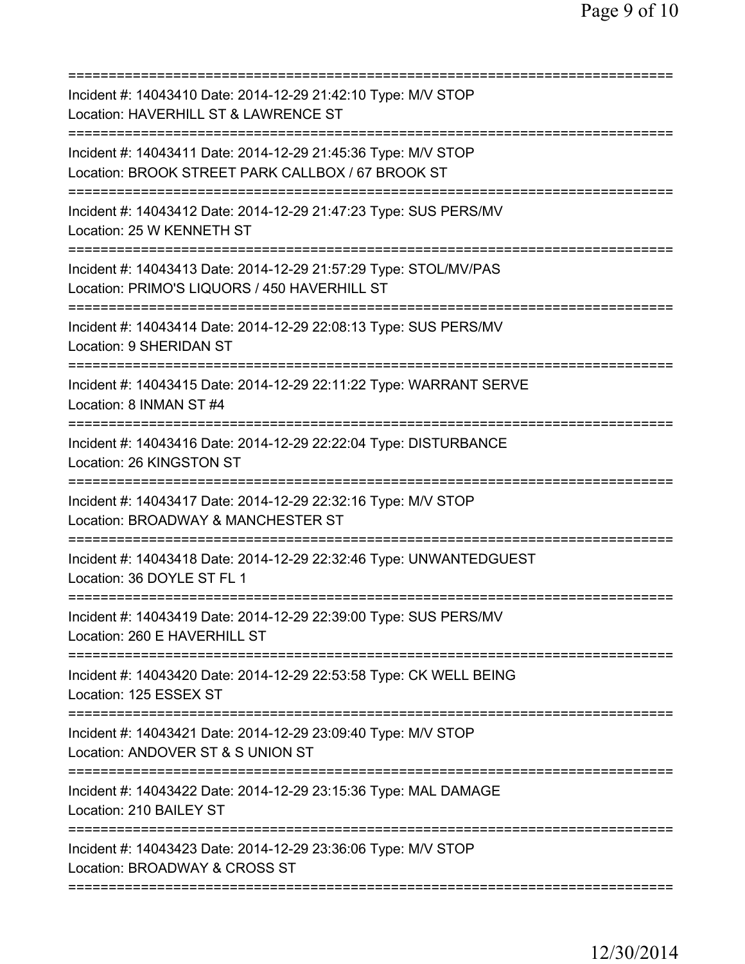| Incident #: 14043410 Date: 2014-12-29 21:42:10 Type: M/V STOP<br>Location: HAVERHILL ST & LAWRENCE ST<br>=======================  |
|-----------------------------------------------------------------------------------------------------------------------------------|
| Incident #: 14043411 Date: 2014-12-29 21:45:36 Type: M/V STOP<br>Location: BROOK STREET PARK CALLBOX / 67 BROOK ST                |
| Incident #: 14043412 Date: 2014-12-29 21:47:23 Type: SUS PERS/MV<br>Location: 25 W KENNETH ST                                     |
| Incident #: 14043413 Date: 2014-12-29 21:57:29 Type: STOL/MV/PAS<br>Location: PRIMO'S LIQUORS / 450 HAVERHILL ST                  |
| Incident #: 14043414 Date: 2014-12-29 22:08:13 Type: SUS PERS/MV<br>Location: 9 SHERIDAN ST                                       |
| Incident #: 14043415 Date: 2014-12-29 22:11:22 Type: WARRANT SERVE<br>Location: 8 INMAN ST #4                                     |
| Incident #: 14043416 Date: 2014-12-29 22:22:04 Type: DISTURBANCE<br>Location: 26 KINGSTON ST                                      |
| Incident #: 14043417 Date: 2014-12-29 22:32:16 Type: M/V STOP<br>Location: BROADWAY & MANCHESTER ST<br>========================== |
| Incident #: 14043418 Date: 2014-12-29 22:32:46 Type: UNWANTEDGUEST<br>Location: 36 DOYLE ST FL 1                                  |
| Incident #: 14043419 Date: 2014-12-29 22:39:00 Type: SUS PERS/MV<br>Location: 260 E HAVERHILL ST                                  |
| Incident #: 14043420 Date: 2014-12-29 22:53:58 Type: CK WELL BEING<br>Location: 125 ESSEX ST                                      |
| Incident #: 14043421 Date: 2014-12-29 23:09:40 Type: M/V STOP<br>Location: ANDOVER ST & S UNION ST                                |
| Incident #: 14043422 Date: 2014-12-29 23:15:36 Type: MAL DAMAGE<br>Location: 210 BAILEY ST                                        |
| Incident #: 14043423 Date: 2014-12-29 23:36:06 Type: M/V STOP<br>Location: BROADWAY & CROSS ST                                    |
|                                                                                                                                   |